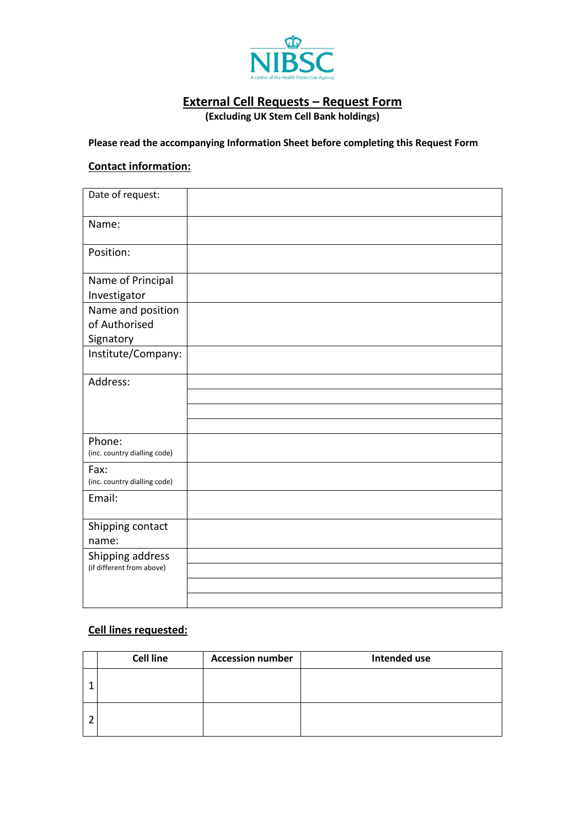

# **External Cell Requests – Request Form**

**(Excluding UK Stem Cell Bank holdings)**

### **Please read the accompanying Information Sheet before completing this Request Form**

### **Contact information:**

| Date of request:                              |  |
|-----------------------------------------------|--|
| Name:                                         |  |
| Position:                                     |  |
| Name of Principal<br>Investigator             |  |
| Name and position<br>of Authorised            |  |
| Signatory<br>Institute/Company:               |  |
|                                               |  |
| Address:                                      |  |
|                                               |  |
|                                               |  |
| Phone:<br>(inc. country dialling code)        |  |
| Fax:<br>(inc. country dialling code)          |  |
| Email:                                        |  |
| Shipping contact<br>name:                     |  |
| Shipping address<br>(if different from above) |  |
|                                               |  |
|                                               |  |

# **Cell lines requested:**

| <b>Cell line</b> | <b>Accession number</b> | Intended use |
|------------------|-------------------------|--------------|
|                  |                         |              |
|                  |                         |              |